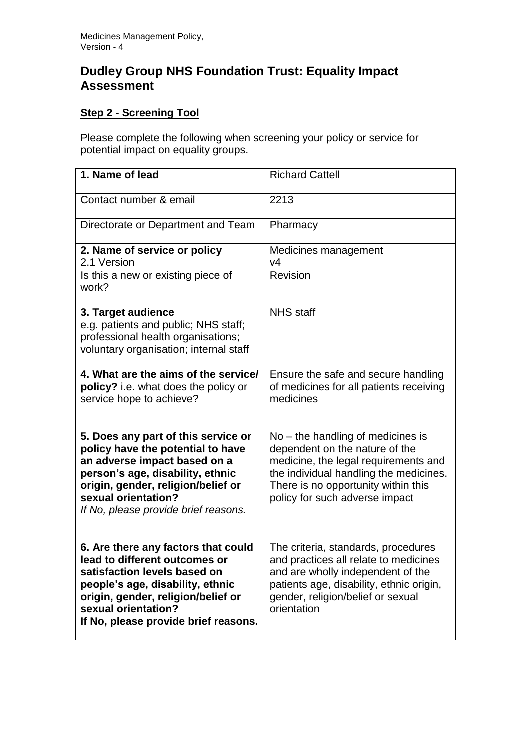## **Dudley Group NHS Foundation Trust: Equality Impact Assessment**

## **Step 2 - Screening Tool**

Please complete the following when screening your policy or service for potential impact on equality groups.

| 1. Name of lead                                                                                                                                                                                                                                   | <b>Richard Cattell</b>                                                                                                                                                                                                           |
|---------------------------------------------------------------------------------------------------------------------------------------------------------------------------------------------------------------------------------------------------|----------------------------------------------------------------------------------------------------------------------------------------------------------------------------------------------------------------------------------|
| Contact number & email                                                                                                                                                                                                                            | 2213                                                                                                                                                                                                                             |
| Directorate or Department and Team                                                                                                                                                                                                                | Pharmacy                                                                                                                                                                                                                         |
| 2. Name of service or policy<br>2.1 Version                                                                                                                                                                                                       | Medicines management<br>v4                                                                                                                                                                                                       |
| Is this a new or existing piece of<br>work?                                                                                                                                                                                                       | Revision                                                                                                                                                                                                                         |
| 3. Target audience<br>e.g. patients and public; NHS staff;<br>professional health organisations;<br>voluntary organisation; internal staff                                                                                                        | <b>NHS</b> staff                                                                                                                                                                                                                 |
| 4. What are the aims of the service/<br>policy? i.e. what does the policy or<br>service hope to achieve?                                                                                                                                          | Ensure the safe and secure handling<br>of medicines for all patients receiving<br>medicines                                                                                                                                      |
| 5. Does any part of this service or<br>policy have the potential to have<br>an adverse impact based on a<br>person's age, disability, ethnic<br>origin, gender, religion/belief or<br>sexual orientation?<br>If No, please provide brief reasons. | $No$ – the handling of medicines is<br>dependent on the nature of the<br>medicine, the legal requirements and<br>the individual handling the medicines.<br>There is no opportunity within this<br>policy for such adverse impact |
| 6. Are there any factors that could<br>lead to different outcomes or<br>satisfaction levels based on<br>people's age, disability, ethnic<br>origin, gender, religion/belief or<br>sexual orientation?<br>If No, please provide brief reasons.     | The criteria, standards, procedures<br>and practices all relate to medicines<br>and are wholly independent of the<br>patients age, disability, ethnic origin,<br>gender, religion/belief or sexual<br>orientation                |